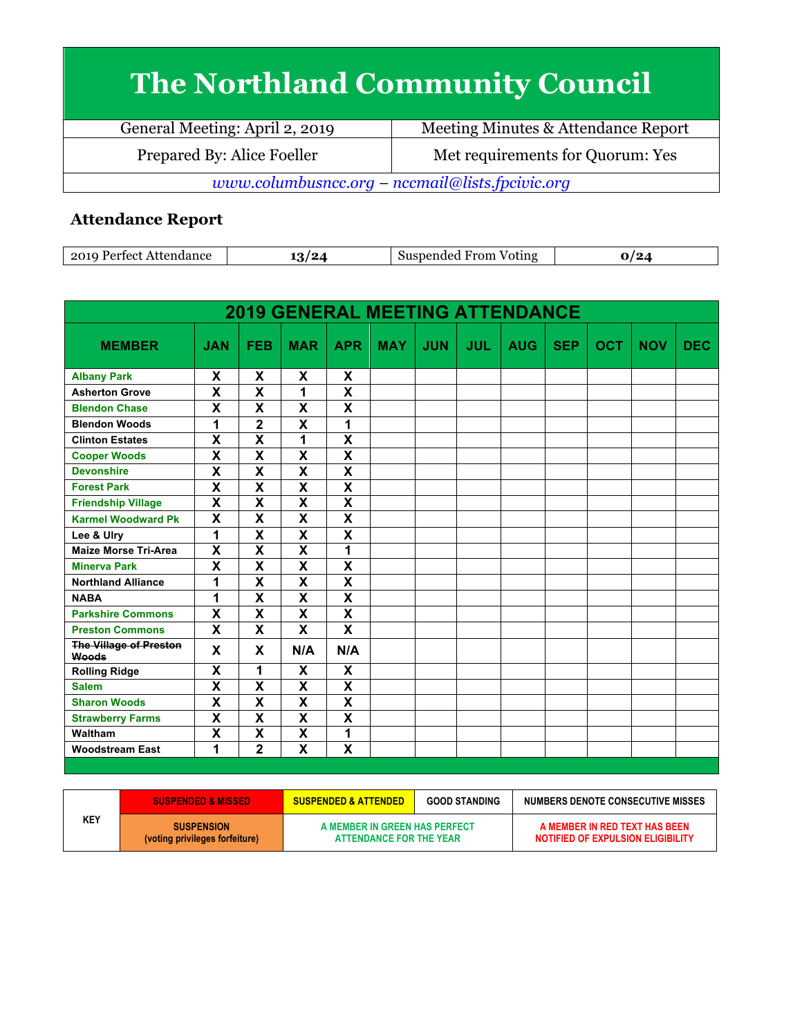## **The Northland Community Council**

| General Meeting: April 2, 2019                  | Meeting Minutes & Attendance Report |  |  |  |
|-------------------------------------------------|-------------------------------------|--|--|--|
| Prepared By: Alice Foeller                      | Met requirements for Quorum: Yes    |  |  |  |
| www.columbusncc.org – nccmail@lists.fpcivic.org |                                     |  |  |  |

## **Attendance Report**

| ാവ<br>nn oo<br>711.<br>. | / எ<br>ັ | $ -$<br>From<br>Voting |  |
|--------------------------|----------|------------------------|--|
|--------------------------|----------|------------------------|--|

| <b>2019 GENERAL MEETING ATTENDANCE</b>        |                           |                         |                         |                           |            |            |            |            |            |            |            |            |
|-----------------------------------------------|---------------------------|-------------------------|-------------------------|---------------------------|------------|------------|------------|------------|------------|------------|------------|------------|
| <b>MEMBER</b>                                 | <b>JAN</b>                | <b>FEB</b>              | <b>MAR</b>              | <b>APR</b>                | <b>MAY</b> | <b>JUN</b> | <b>JUL</b> | <b>AUG</b> | <b>SEP</b> | <b>OCT</b> | <b>NOV</b> | <b>DEC</b> |
| <b>Albany Park</b>                            | X                         | X                       | X                       | X                         |            |            |            |            |            |            |            |            |
| <b>Asherton Grove</b>                         | X                         | X                       | 1                       | $\overline{\mathsf{x}}$   |            |            |            |            |            |            |            |            |
| <b>Blendon Chase</b>                          | X                         | X                       | X                       | X                         |            |            |            |            |            |            |            |            |
| <b>Blendon Woods</b>                          | 1                         | $\overline{\mathbf{2}}$ | X                       | 1                         |            |            |            |            |            |            |            |            |
| <b>Clinton Estates</b>                        | $\overline{\mathbf{x}}$   | $\overline{\mathsf{x}}$ | 1                       | $\overline{\mathbf{x}}$   |            |            |            |            |            |            |            |            |
| <b>Cooper Woods</b>                           | X                         | $\overline{\mathsf{x}}$ | $\overline{\mathsf{x}}$ | $\overline{\mathsf{x}}$   |            |            |            |            |            |            |            |            |
| <b>Devonshire</b>                             | $\overline{\mathbf{x}}$   | $\overline{\mathsf{x}}$ | $\overline{\mathbf{x}}$ | $\overline{\mathbf{x}}$   |            |            |            |            |            |            |            |            |
| <b>Forest Park</b>                            | X                         | $\overline{\mathsf{x}}$ | X                       | $\overline{\mathbf{x}}$   |            |            |            |            |            |            |            |            |
| <b>Friendship Village</b>                     | $\overline{\mathbf{X}}$   | $\overline{\mathsf{x}}$ | $\overline{\mathsf{x}}$ | $\overline{\mathbf{x}}$   |            |            |            |            |            |            |            |            |
| <b>Karmel Woodward Pk</b>                     | $\overline{\mathsf{x}}$   | $\overline{\mathsf{x}}$ | $\overline{\mathsf{x}}$ | $\overline{\mathsf{x}}$   |            |            |            |            |            |            |            |            |
| Lee & Ulry                                    | 1                         | $\overline{\mathsf{x}}$ | $\overline{\mathsf{x}}$ | X                         |            |            |            |            |            |            |            |            |
| <b>Maize Morse Tri-Area</b>                   | $\boldsymbol{\mathsf{X}}$ | $\overline{\mathsf{x}}$ | $\overline{\mathsf{x}}$ | 1                         |            |            |            |            |            |            |            |            |
| <b>Minerva Park</b>                           | X                         | $\overline{\mathsf{x}}$ | $\overline{\mathsf{x}}$ | $\overline{\mathbf{x}}$   |            |            |            |            |            |            |            |            |
| <b>Northland Alliance</b>                     | 1                         | $\overline{\mathbf{X}}$ | $\overline{\mathsf{x}}$ | $\overline{\mathbf{X}}$   |            |            |            |            |            |            |            |            |
| <b>NABA</b>                                   | 1                         | $\overline{\mathsf{x}}$ | $\overline{\mathsf{x}}$ | $\overline{\mathsf{x}}$   |            |            |            |            |            |            |            |            |
| <b>Parkshire Commons</b>                      | X                         | $\overline{\mathsf{x}}$ | $\overline{\mathsf{x}}$ | $\overline{\mathsf{x}}$   |            |            |            |            |            |            |            |            |
| <b>Preston Commons</b>                        | X                         | X                       | X                       | $\boldsymbol{\mathsf{x}}$ |            |            |            |            |            |            |            |            |
| <b>The Village of Preston</b><br><b>Woods</b> | X                         | X                       | N/A                     | N/A                       |            |            |            |            |            |            |            |            |
| <b>Rolling Ridge</b>                          | X                         | 1                       | X                       | X                         |            |            |            |            |            |            |            |            |
| <b>Salem</b>                                  | $\overline{\mathbf{x}}$   | $\overline{\mathsf{x}}$ | $\overline{\mathsf{x}}$ | $\overline{\mathbf{x}}$   |            |            |            |            |            |            |            |            |
| <b>Sharon Woods</b>                           | $\boldsymbol{\mathsf{X}}$ | X                       | X                       | $\overline{\mathbf{X}}$   |            |            |            |            |            |            |            |            |
| <b>Strawberry Farms</b>                       | $\overline{\mathbf{x}}$   | $\overline{\mathsf{x}}$ | $\overline{\mathsf{x}}$ | $\overline{\mathbf{x}}$   |            |            |            |            |            |            |            |            |
| <b>Waltham</b>                                | $\boldsymbol{\mathsf{X}}$ | X                       | X                       | 1                         |            |            |            |            |            |            |            |            |
| <b>Woodstream East</b>                        | 1                         | $\overline{\mathbf{2}}$ | $\overline{\mathsf{x}}$ | $\overline{\mathsf{x}}$   |            |            |            |            |            |            |            |            |

|     | <b>SUSPENDED &amp; MISSED \</b>                     | <b>SUSPENDED &amp; ATTENDED</b>                          | <b>GOOD STANDING</b> | NUMBERS DENOTE CONSECUTIVE MISSES                                  |
|-----|-----------------------------------------------------|----------------------------------------------------------|----------------------|--------------------------------------------------------------------|
| KEY | <b>SUSPENSION</b><br>(voting privileges forfeiture) | A MEMBER IN GREEN HAS PERFECT<br>ATTENDANCE FOR THE YEAR |                      | A MEMBER IN RED TEXT HAS BEEN<br>NOTIFIED OF EXPULSION ELIGIBILITY |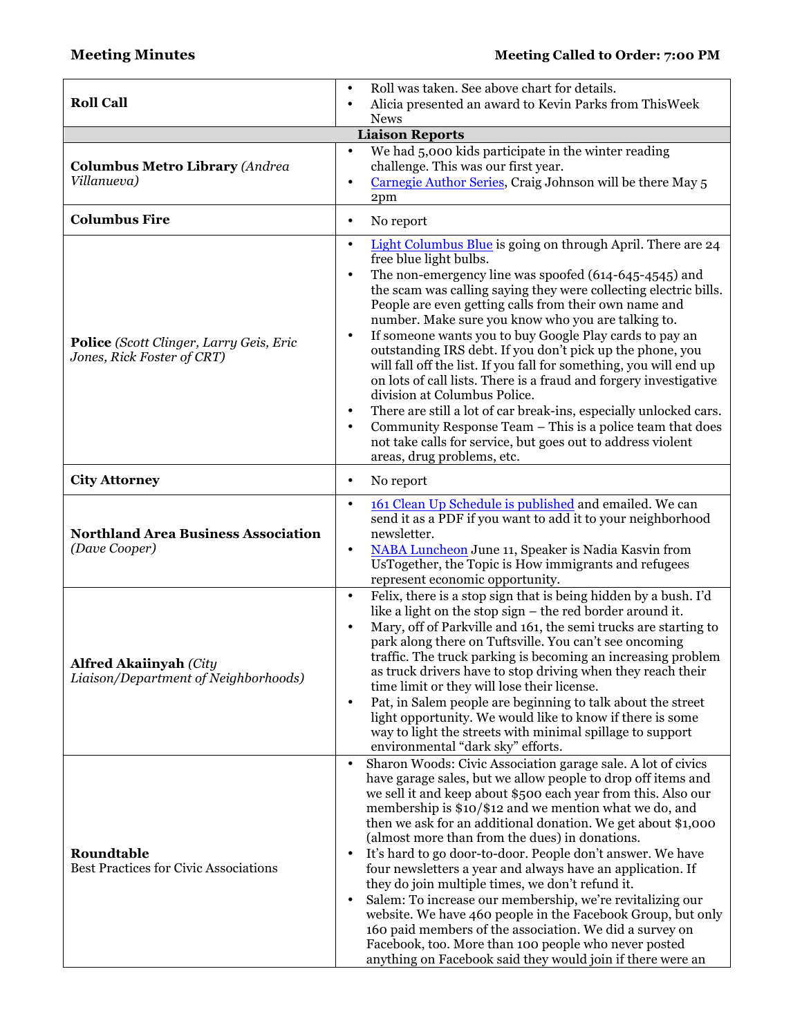|                                                                       | Roll was taken. See above chart for details.<br>$\bullet$                                                                                                                                                                                                                                                                                                                                                                                                                                                                                                                                                                                                                                                                                                                                                                                                                                        |  |  |  |  |  |  |
|-----------------------------------------------------------------------|--------------------------------------------------------------------------------------------------------------------------------------------------------------------------------------------------------------------------------------------------------------------------------------------------------------------------------------------------------------------------------------------------------------------------------------------------------------------------------------------------------------------------------------------------------------------------------------------------------------------------------------------------------------------------------------------------------------------------------------------------------------------------------------------------------------------------------------------------------------------------------------------------|--|--|--|--|--|--|
| <b>Roll Call</b>                                                      | Alicia presented an award to Kevin Parks from ThisWeek<br>$\bullet$<br><b>News</b>                                                                                                                                                                                                                                                                                                                                                                                                                                                                                                                                                                                                                                                                                                                                                                                                               |  |  |  |  |  |  |
| <b>Liaison Reports</b>                                                |                                                                                                                                                                                                                                                                                                                                                                                                                                                                                                                                                                                                                                                                                                                                                                                                                                                                                                  |  |  |  |  |  |  |
| We had 5,000 kids participate in the winter reading<br>$\bullet$      |                                                                                                                                                                                                                                                                                                                                                                                                                                                                                                                                                                                                                                                                                                                                                                                                                                                                                                  |  |  |  |  |  |  |
| <b>Columbus Metro Library (Andrea</b>                                 | challenge. This was our first year.                                                                                                                                                                                                                                                                                                                                                                                                                                                                                                                                                                                                                                                                                                                                                                                                                                                              |  |  |  |  |  |  |
| Villanueva)                                                           | Carnegie Author Series, Craig Johnson will be there May 5<br>$\bullet$                                                                                                                                                                                                                                                                                                                                                                                                                                                                                                                                                                                                                                                                                                                                                                                                                           |  |  |  |  |  |  |
|                                                                       | 2pm                                                                                                                                                                                                                                                                                                                                                                                                                                                                                                                                                                                                                                                                                                                                                                                                                                                                                              |  |  |  |  |  |  |
| <b>Columbus Fire</b>                                                  | No report<br>$\bullet$                                                                                                                                                                                                                                                                                                                                                                                                                                                                                                                                                                                                                                                                                                                                                                                                                                                                           |  |  |  |  |  |  |
| Police (Scott Clinger, Larry Geis, Eric<br>Jones, Rick Foster of CRT) | Light Columbus Blue is going on through April. There are 24<br>$\bullet$<br>free blue light bulbs.<br>The non-emergency line was spoofed (614-645-4545) and<br>$\bullet$<br>the scam was calling saying they were collecting electric bills.<br>People are even getting calls from their own name and<br>number. Make sure you know who you are talking to.<br>If someone wants you to buy Google Play cards to pay an<br>$\bullet$<br>outstanding IRS debt. If you don't pick up the phone, you<br>will fall off the list. If you fall for something, you will end up<br>on lots of call lists. There is a fraud and forgery investigative<br>division at Columbus Police.<br>There are still a lot of car break-ins, especially unlocked cars.<br>$\bullet$<br>Community Response Team - This is a police team that does<br>not take calls for service, but goes out to address violent        |  |  |  |  |  |  |
|                                                                       | areas, drug problems, etc.                                                                                                                                                                                                                                                                                                                                                                                                                                                                                                                                                                                                                                                                                                                                                                                                                                                                       |  |  |  |  |  |  |
| <b>City Attorney</b>                                                  | No report<br>$\bullet$                                                                                                                                                                                                                                                                                                                                                                                                                                                                                                                                                                                                                                                                                                                                                                                                                                                                           |  |  |  |  |  |  |
| <b>Northland Area Business Association</b><br>(Dave Cooper)           | 161 Clean Up Schedule is published and emailed. We can<br>$\bullet$<br>send it as a PDF if you want to add it to your neighborhood<br>newsletter.<br>NABA Luncheon June 11, Speaker is Nadia Kasvin from<br>$\bullet$<br>UsTogether, the Topic is How immigrants and refugees<br>represent economic opportunity.                                                                                                                                                                                                                                                                                                                                                                                                                                                                                                                                                                                 |  |  |  |  |  |  |
| <b>Alfred Akaiinyah (City</b><br>Liaison/Department of Neighborhoods) | Felix, there is a stop sign that is being hidden by a bush. I'd<br>$\bullet$<br>like a light on the stop sign – the red border around it.<br>Mary, off of Parkville and 161, the semi trucks are starting to<br>$\bullet$<br>park along there on Tuftsville. You can't see oncoming<br>traffic. The truck parking is becoming an increasing problem<br>as truck drivers have to stop driving when they reach their<br>time limit or they will lose their license.<br>Pat, in Salem people are beginning to talk about the street<br>$\bullet$<br>light opportunity. We would like to know if there is some<br>way to light the streets with minimal spillage to support<br>environmental "dark sky" efforts.                                                                                                                                                                                     |  |  |  |  |  |  |
| Roundtable<br><b>Best Practices for Civic Associations</b>            | Sharon Woods: Civic Association garage sale. A lot of civics<br>$\bullet$<br>have garage sales, but we allow people to drop off items and<br>we sell it and keep about \$500 each year from this. Also our<br>membership is \$10/\$12 and we mention what we do, and<br>then we ask for an additional donation. We get about \$1,000<br>(almost more than from the dues) in donations.<br>It's hard to go door-to-door. People don't answer. We have<br>$\bullet$<br>four newsletters a year and always have an application. If<br>they do join multiple times, we don't refund it.<br>Salem: To increase our membership, we're revitalizing our<br>website. We have 460 people in the Facebook Group, but only<br>160 paid members of the association. We did a survey on<br>Facebook, too. More than 100 people who never posted<br>anything on Facebook said they would join if there were an |  |  |  |  |  |  |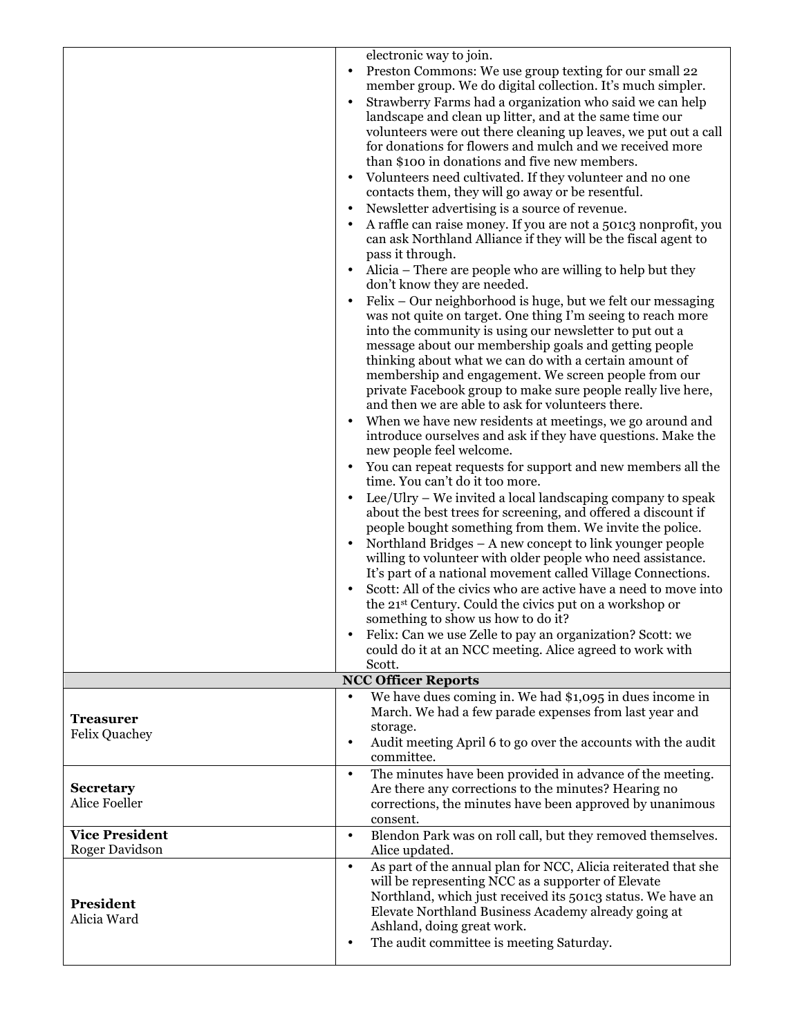|                       | electronic way to join.                                                                                                                               |
|-----------------------|-------------------------------------------------------------------------------------------------------------------------------------------------------|
|                       | Preston Commons: We use group texting for our small 22                                                                                                |
|                       | member group. We do digital collection. It's much simpler.                                                                                            |
|                       | Strawberry Farms had a organization who said we can help<br>landscape and clean up litter, and at the same time our                                   |
|                       | volunteers were out there cleaning up leaves, we put out a call                                                                                       |
|                       | for donations for flowers and mulch and we received more                                                                                              |
|                       | than \$100 in donations and five new members.                                                                                                         |
|                       | Volunteers need cultivated. If they volunteer and no one                                                                                              |
|                       | contacts them, they will go away or be resentful.                                                                                                     |
|                       | Newsletter advertising is a source of revenue.                                                                                                        |
|                       | A raffle can raise money. If you are not a 501c3 nonprofit, you<br>can ask Northland Alliance if they will be the fiscal agent to<br>pass it through. |
|                       | Alicia - There are people who are willing to help but they<br>don't know they are needed.                                                             |
|                       | Felix - Our neighborhood is huge, but we felt our messaging<br>$\bullet$                                                                              |
|                       | was not quite on target. One thing I'm seeing to reach more<br>into the community is using our newsletter to put out a                                |
|                       | message about our membership goals and getting people                                                                                                 |
|                       | thinking about what we can do with a certain amount of                                                                                                |
|                       | membership and engagement. We screen people from our                                                                                                  |
|                       | private Facebook group to make sure people really live here,<br>and then we are able to ask for volunteers there.                                     |
|                       | When we have new residents at meetings, we go around and                                                                                              |
|                       | introduce ourselves and ask if they have questions. Make the                                                                                          |
|                       | new people feel welcome.                                                                                                                              |
|                       | You can repeat requests for support and new members all the                                                                                           |
|                       | time. You can't do it too more.                                                                                                                       |
|                       | Lee/Ulry – We invited a local landscaping company to speak<br>$\bullet$<br>about the best trees for screening, and offered a discount if              |
|                       | people bought something from them. We invite the police.                                                                                              |
|                       | Northland Bridges – A new concept to link younger people                                                                                              |
|                       | willing to volunteer with older people who need assistance.                                                                                           |
|                       | It's part of a national movement called Village Connections.                                                                                          |
|                       | Scott: All of the civics who are active have a need to move into                                                                                      |
|                       | the 21 <sup>st</sup> Century. Could the civics put on a workshop or                                                                                   |
|                       | something to show us how to do it?<br>Felix: Can we use Zelle to pay an organization? Scott: we                                                       |
|                       | could do it at an NCC meeting. Alice agreed to work with                                                                                              |
|                       | Scott.                                                                                                                                                |
|                       | <b>NCC Officer Reports</b>                                                                                                                            |
|                       | We have dues coming in. We had \$1,095 in dues income in                                                                                              |
| <b>Treasurer</b>      | March. We had a few parade expenses from last year and<br>storage.                                                                                    |
| <b>Felix Quachey</b>  | Audit meeting April 6 to go over the accounts with the audit<br>$\bullet$                                                                             |
|                       | committee.                                                                                                                                            |
|                       | The minutes have been provided in advance of the meeting.<br>$\bullet$                                                                                |
| <b>Secretary</b>      | Are there any corrections to the minutes? Hearing no                                                                                                  |
| Alice Foeller         | corrections, the minutes have been approved by unanimous                                                                                              |
| <b>Vice President</b> | consent.<br>Blendon Park was on roll call, but they removed themselves.<br>$\bullet$                                                                  |
| Roger Davidson        | Alice updated.                                                                                                                                        |
|                       | As part of the annual plan for NCC, Alicia reiterated that she<br>$\bullet$                                                                           |
|                       | will be representing NCC as a supporter of Elevate                                                                                                    |
| President             | Northland, which just received its 501c3 status. We have an                                                                                           |
| Alicia Ward           | Elevate Northland Business Academy already going at<br>Ashland, doing great work.                                                                     |
|                       | The audit committee is meeting Saturday.<br>$\bullet$                                                                                                 |
|                       |                                                                                                                                                       |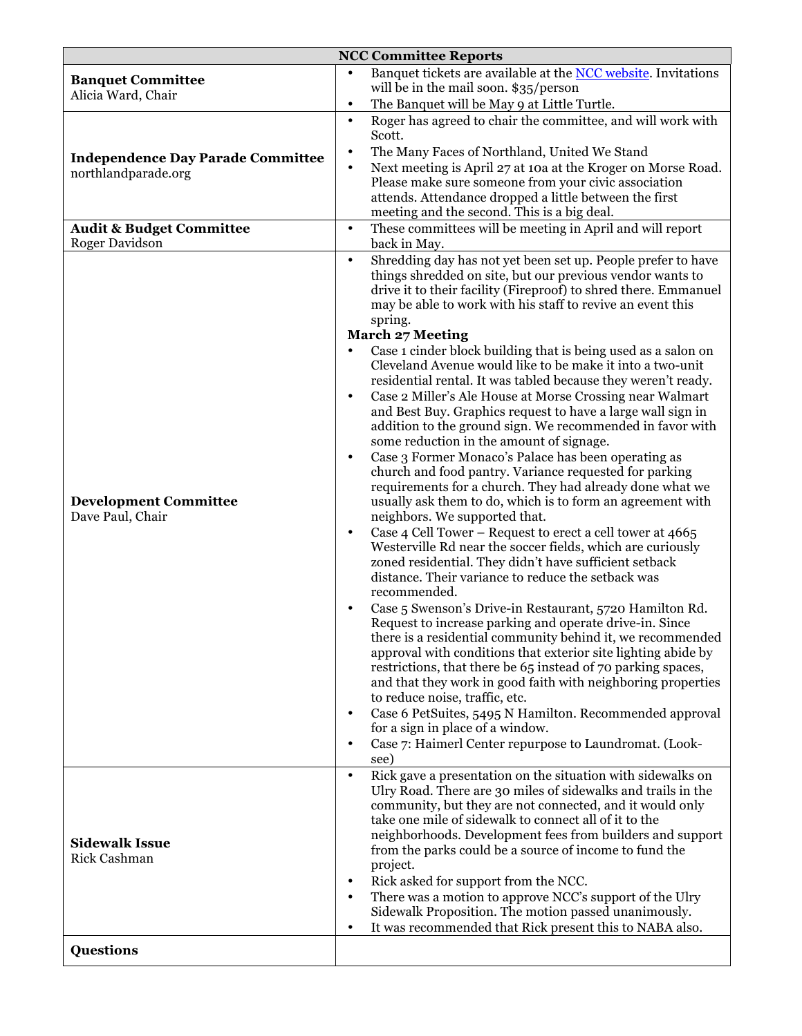| <b>NCC Committee Reports</b>                     |                                                                                                                                                                                                                                                                                                                                                                                                                     |  |  |  |  |  |
|--------------------------------------------------|---------------------------------------------------------------------------------------------------------------------------------------------------------------------------------------------------------------------------------------------------------------------------------------------------------------------------------------------------------------------------------------------------------------------|--|--|--|--|--|
| <b>Banquet Committee</b><br>Alicia Ward, Chair   | Banquet tickets are available at the NCC website. Invitations<br>will be in the mail soon. \$35/person                                                                                                                                                                                                                                                                                                              |  |  |  |  |  |
|                                                  | The Banquet will be May 9 at Little Turtle.<br>$\bullet$                                                                                                                                                                                                                                                                                                                                                            |  |  |  |  |  |
|                                                  | Roger has agreed to chair the committee, and will work with<br>$\bullet$<br>Scott.<br>$\bullet$                                                                                                                                                                                                                                                                                                                     |  |  |  |  |  |
| <b>Independence Day Parade Committee</b>         | The Many Faces of Northland, United We Stand<br>Next meeting is April 27 at 10a at the Kroger on Morse Road.<br>$\bullet$                                                                                                                                                                                                                                                                                           |  |  |  |  |  |
| northlandparade.org                              | Please make sure someone from your civic association                                                                                                                                                                                                                                                                                                                                                                |  |  |  |  |  |
|                                                  | attends. Attendance dropped a little between the first                                                                                                                                                                                                                                                                                                                                                              |  |  |  |  |  |
|                                                  | meeting and the second. This is a big deal.                                                                                                                                                                                                                                                                                                                                                                         |  |  |  |  |  |
| <b>Audit &amp; Budget Committee</b>              | These committees will be meeting in April and will report<br>$\bullet$                                                                                                                                                                                                                                                                                                                                              |  |  |  |  |  |
| <b>Roger Davidson</b>                            | back in May.                                                                                                                                                                                                                                                                                                                                                                                                        |  |  |  |  |  |
|                                                  | Shredding day has not yet been set up. People prefer to have<br>$\bullet$<br>things shredded on site, but our previous vendor wants to<br>drive it to their facility (Fireproof) to shred there. Emmanuel<br>may be able to work with his staff to revive an event this<br>spring.<br><b>March 27 Meeting</b><br>Case 1 cinder block building that is being used as a salon on<br>$\bullet$                         |  |  |  |  |  |
|                                                  | Cleveland Avenue would like to be make it into a two-unit<br>residential rental. It was tabled because they weren't ready.                                                                                                                                                                                                                                                                                          |  |  |  |  |  |
| <b>Development Committee</b><br>Dave Paul, Chair | Case 2 Miller's Ale House at Morse Crossing near Walmart<br>$\bullet$<br>and Best Buy. Graphics request to have a large wall sign in<br>addition to the ground sign. We recommended in favor with<br>some reduction in the amount of signage.                                                                                                                                                                       |  |  |  |  |  |
|                                                  | Case 3 Former Monaco's Palace has been operating as<br>$\bullet$<br>church and food pantry. Variance requested for parking<br>requirements for a church. They had already done what we<br>usually ask them to do, which is to form an agreement with<br>neighbors. We supported that.                                                                                                                               |  |  |  |  |  |
|                                                  | Case 4 Cell Tower - Request to erect a cell tower at 4665<br>$\bullet$<br>Westerville Rd near the soccer fields, which are curiously<br>zoned residential. They didn't have sufficient setback<br>distance. Their variance to reduce the setback was<br>recommended.                                                                                                                                                |  |  |  |  |  |
|                                                  | Case 5 Swenson's Drive-in Restaurant, 5720 Hamilton Rd.<br>Request to increase parking and operate drive-in. Since<br>there is a residential community behind it, we recommended<br>approval with conditions that exterior site lighting abide by<br>restrictions, that there be 65 instead of 70 parking spaces,<br>and that they work in good faith with neighboring properties<br>to reduce noise, traffic, etc. |  |  |  |  |  |
|                                                  | Case 6 PetSuites, 5495 N Hamilton. Recommended approval<br>$\bullet$                                                                                                                                                                                                                                                                                                                                                |  |  |  |  |  |
|                                                  | for a sign in place of a window.                                                                                                                                                                                                                                                                                                                                                                                    |  |  |  |  |  |
|                                                  | Case 7: Haimerl Center repurpose to Laundromat. (Look-<br>$\bullet$                                                                                                                                                                                                                                                                                                                                                 |  |  |  |  |  |
|                                                  | see)<br>Rick gave a presentation on the situation with sidewalks on<br>$\bullet$                                                                                                                                                                                                                                                                                                                                    |  |  |  |  |  |
| <b>Sidewalk Issue</b><br>Rick Cashman            | Ulry Road. There are 30 miles of sidewalks and trails in the<br>community, but they are not connected, and it would only<br>take one mile of sidewalk to connect all of it to the<br>neighborhoods. Development fees from builders and support<br>from the parks could be a source of income to fund the<br>project.                                                                                                |  |  |  |  |  |
|                                                  | Rick asked for support from the NCC.<br>$\bullet$                                                                                                                                                                                                                                                                                                                                                                   |  |  |  |  |  |
|                                                  | There was a motion to approve NCC's support of the Ulry                                                                                                                                                                                                                                                                                                                                                             |  |  |  |  |  |
|                                                  | Sidewalk Proposition. The motion passed unanimously.<br>It was recommended that Rick present this to NABA also.<br>٠                                                                                                                                                                                                                                                                                                |  |  |  |  |  |
|                                                  |                                                                                                                                                                                                                                                                                                                                                                                                                     |  |  |  |  |  |
| <b>Questions</b>                                 |                                                                                                                                                                                                                                                                                                                                                                                                                     |  |  |  |  |  |